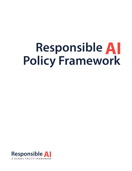# **Responsible AI Policy Framework**

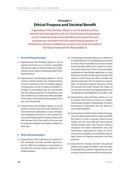# **Principle 1 Ethical Purpose and Societal Benefit**

Organisations that develop, deploy or use AI systems and any national laws that regulate such use should require the purposes of such implementation to be identified and ensure that such purposes are consistent with the overall ethical purposes of beneficence and non-maleficence, as well as the other principles of the Policy Framework for Responsible AI.

# **1 Overarching principles**

- **1.1** Organisations that develop, deploy or use AI systems should do so in a manner compatible with human agency and the respect for fundamental human rights (including freedom from discrimination).
- **1.2** Organisations that develop, deploy or use AI systems should monitor the implementation of such AI systems and act to mitigate against consequences of such AI systems (whether intended or unintended) that are inconsistent with the ethical purposes of beneficence and non-maleficence, as well as the other principles of the Policy Framework for Responsible AI set out in this framework.
- **1.3** Organisations that develop, deploy or use AI systems should assess the social, political and environmental implications of such development, deployment and use in the context of a structured Responsible AI Impact Assessment that assesses risk of harm and, as the case may be, proposes mitigation strategies in relation to such risks.

# **2 Work and automation**

**2.1** Organisations that implement AI systems in the workplace should provide opportunities for affected employees to participate in the decision-making process related to such implementation.

- **2.2** Consideration should be given as to whether it is achievable from a technological perspective to ensure that all possible occurrences should be pre-decided within an AI system to ensure consistent behaviour. If this is not practicable, organisations developing, deploying or using AI systems should consider at the very least the extent to which they are able to confine the decision outcomes of an AI system to a reasonable, non-aberrant range of responses, taking into account the wider context, the impact of the decision and the moral appropriateness of "weighing the unweighable" such as life vs. life.
- **2.3** Organisations that develop, deploy or use AI systems that have an impact on employment should conduct a Responsible AI Impact Assessment to determine the net effects of such implementation.
- **2.4** Governments should closely monitor the progress of AI-driven automation in order to identify the sectors of their economy where human workers are the most affected. Governments should actively solicit and monitor industry, employee and other stakeholder data and commentary regarding the impact of AI systems on the workplace and should develop an open forum for sharing experience and best practices.
- **2.5** Governments should promote educational policies that equip all children with the skills, knowledge and qualities required by the new economy and that promote life-long learning.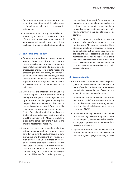- **2.6** Governments should encourage the creation of opportunities for adults to learn new useful skills, especially for those displaced by automation.
- **2.7** Governments should study the viability and advisability of new social welfare and benefit systems to help reduce, where warranted, socio-economic inequality caused by the introduction of AI systems and robotic automation.

#### **3 Environmental impact**

- **3.1** Organisations that develop, deploy or use AI systems should assess the overall environmental impact of such AI systems, throughout their implementation, including consumption of resources, energy costs of data storage and processing and the net energy efficiencies or environmental benefits that they may produce. Organisations should seek to promote and implement uses of AI systems with a view to achieving overall carbon neutrality or carbon reduction.
- **3.2** Governments are encouraged to adjust regulatory regimes and/or promote industry self-regulatory regimes concerning market-entry and/or adoption of AI systems in a way that the possible exposure (in terms of 'opportunities vs. risks') that may result from the public operation of such AI systems is reasonably reflected. Special regimes for intermediary and limited admissions to enable testing and refining of the operation of the AI system can help to expedite the completion of the AI system and improve its safety and reliability.
- **3.3** In order to ensure and maintain public trust in final human control, governments should consider implementing rules that ensure comprehensive and transparent investigation of such adverse and unanticipated outcomes of AI systems that have occurred through their usage, in particular if these outcomes have lethal or injurious consequences for the humans using such systems. Such investigations should be used for considering adjusting

the regulatory framework for AI systems, in particular to develop, where practicable and achievable, a more rounded understanding of how and when such systems should gracefully handover to their human operators in a failure scenario.

**3.4** AI has a particular potential to reduce environmentally harmful resource waste and inefficiencies. AI research regarding these objectives should be encouraged. In order to do so, policies must be put in place to ensure the relevant data is accessible and usable in a manner consistent with respect for other principles of the Policy Framework for Responsible AI such as Fairness and Non-Discrimination, Open Data and Fair Competition and Privacy, Lawful Access and Consent.

# **4 Weaponised AI**

- **4.1** The use of lethal autonomous weapons systems (LAWS) should respect the principles and standards of and be consistent with international humanitarian law on the use of weapons and wider international human rights law.
- **4.2** Governments should implement multilateral mechanisms to define, implement and monitor compliance with international agreements regarding the ethical development, use and commerce of LAWS.
- **4.3** Governments and organisations should refrain from developing, selling or using lethal autonomous weapon systems (LAWS) able to select and engage targets without human control and oversight in all contexts.
- **4.4** Organisations that develop, deploy or use AI systems should inform their employees when they are assigned to projects relating to LAWS.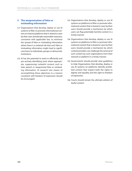# **5 The weaponisation of false or misleading information**

- **5.1** Organisations that develop, deploy or use AI systems to filter or promote informational content on internet platforms that is shared or seen by their users should take reasonable measures, consistent with applicable law, to minimise the spread of false or misleading information where there is a material risk that such false or misleading information might lead to significant harm to individuals, groups or democratic institutions.
- **5.2** AI has the potential to assist in efficiently and pro-actively identifying (and, where appropriate, suppressing) unlawful content such as hate speech or weaponised false or misleading information. AI research into means of accomplishing these objectives in a manner consistent with freedom of expression should be encouraged.
- **5.3** Organisations that develop, deploy or use AI systems on platforms to filter or promote informational content that is shared or seen by their users should provide a mechanism by which users can flag potentially harmful content in a timely manner.
- **5.4** Organisations that develop, deploy or use AI systems on platforms to filter or promote informational content that is shared or seen by their users should provide a mechanism by which content providers can challenge the removal of such content by such organisations from their network or platform in a timely manner.
- **5.5** Governments should provide clear guidelines to help Organisations that develop, deploy or use AI systems on platforms identify prohibited content that respect both the rights to dignity and equality and the right to freedom of expression.
- **5.6** Courts should remain the ultimate arbiters of lawful content.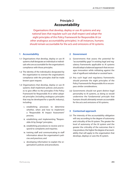# **Principle 2 Accountability**

Organisations that develop, deploy or use AI systems and any national laws that regulate such use shall respect and adopt the eight principles of this Policy Framework for Responsible AI (or other analogous accountability principles). In all instances, humans should remain accountable for the acts and omissions of AI systems.

#### **1 Accountability**

- **1.1** Organisations that develop, deploy or use AI systems shall designate an individual or individuals who are accountable for the organisation's compliance with those principles.
- **1.2** The identity of the individual(s) designated by the organisation to oversee the organisation's compliance with the principles shall be made known upon request.
- **1.3** Organisations that develop, deploy or use AI systems shall implement policies and practices to give effect to the principles if the Policy Framework for Responsible AI or other adopted principles (including analogous principles that may be developed for a specific industry), including:
	- **i.** establishing processes to determine whether, when and how to implement a "Responsible AI Impact Assessment" process;
	- **ii.** establishing and implementing "Responsible AI by Design" principles;
	- **iii.** establishing procedures to receive and respond to complaints and inquiries;
	- **iv.** training staff and communicating to staff information about the organisation's policies and practices; and
	- **v.** developing information to explain the organisation's policies and procedures.

#### **2 Government**

- **2.** Governments that assess the potential for "accountability gaps" in existing legal and regulatory frameworks applicable to AI systems should adopt a balanced approach that encourages innovation while militating against the risk of significant individual or societal harm.
- **2.1** Any such legal and regulatory frameworks should promote the eight principles of the Policy Framework for Responsible AI or encompass similar considerations.
- **2.2** Governments should not grant distinct legal personality to AI systems, as doing so would undermine the fundamental principle that humans should ultimately remain accountable for the acts and omissions of AI systems.

#### **3 Contextual approach**

**3.1** The intensity of the accountability obligation will vary according to the degree of autonomy and criticality of the AI system. The greater the level of autonomy of the AI system and the greater the criticality of the outcomes that it may produce, the higher the degree of accountability that will apply to the organisation that develops, deploys or uses the AI system.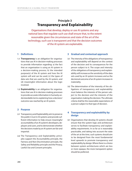# **Principle 3 Transparency and Explainability**

Organisations that develop, deploy or use AI systems and any national laws that regulate such use shall ensure that, to the extent reasonable given the circumstances and state of the art of the technology, such use is transparent and that the decision outcomes of the AI system are explainable.

# **1 Definitions**

- **1.1 Transparency** is an obligation for organisations that use AI in decision-making processes to provide information regarding: a) the fact that an organisation is using an AI system in a decision-making process; b) the intended purpose(s) of the AI system and how the AI system will and can be used; (c) the types of data sets that are used by the AI system; and (d) meaningful information about the logic involved.
- **1.2 Explainability** is an obligation for organisations that use AI in decision-making processes to provide accurate information in humanly understandable terms explaining how a decision/ outcome was reached by an AI system.

# **2 Purpose**

- **2.1** Transparency and Explainability aim to preserve the public's trust in AI systems and provide sufficient information to help ensure meaningful accountability of an AI system's developers, deployers and users, and to demonstrate whether the decisions made by an AI system are fair and impartial.
- **2.2** The Transparency and Explainability principles support the Accountability principle, the Fairness and Non-Discrimination principle, the Safety and Reliability principle and the Privacy, Lawful Use and Consent principles.

# **3 Gradual and contextual approach**

- **3.1** The intensity of the obligations of transparency and explainability will depend on the context of the decision and its consequences for the person subject to it. The scope and intensity of the obligations of transparency and explainability will increase as the sensitivity of the data sets used by an AI system increases and as the decisional outcome of an AI system increases in materiality.
- **3.2** The determination of the intensity of the obligations of transparency and explainability must balance the interests of the person subject to the decision and the interests of the organisation making the decision. The ultimate criteria shall be the reasonable expectations of a person subject to that type of decision.

# **4 Transparency and explainability by design**

**4.1** Organisations that develop AI systems should ensure that the system logic and architecture serves to facilitate transparency and explainability requirements. In so far as is reasonably practicable, and taking into account the state of the art at the time, such systems should aim to be designed from the most fundamental level upwards to promote transparency and explainability by design. Where there is a choice between system architectures which are less or more opaque, the more transparent option should be preferred.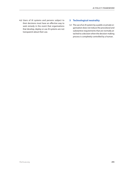**4.2** Users of AI systems and persons subject to their decisions must have an effective way to seek remedy in the event that organisations that develop, deploy or use AI systems are not transparent about their use.

# **5 Technological neutrality**

**5.1** The use of an AI system by a public or private organisation does not reduce the procedural and substantive requirements that are normally attached to a decision when the decision-making process is completely controlled by a human.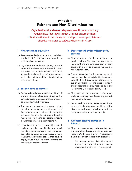# **Principle 4 Fairness and Non-Discrimination**

Organisations that develop, deploy or use AI systems and any national laws that regulate such use shall ensure the nondiscrimination of AI outcomes, and shall promote appropriate and effective measures to safeguard fairness in AI use.

#### **1 Awareness and education**

- **1.1** Awareness and education on the possibilities and limits of AI systems is a prerequisite to achieving fairer outcomes.
- **1.2** Organisations that develop, deploy or use AI systems should take steps to ensure that users are aware that AI systems reflect the goals, knowledge and experience of their creators, as well as the limitations of the data sets that are used to train them.

#### **2 Technology and fairness**

- **2.1** Decisions based on AI systems should be fair and non-discriminatory, judged against the same standards as decision-making processes conducted entirely by humans.
- **2.2** The use of AI systems by organisations that develop, deploy or use AI systems and Governments should not serve to exempt or attenuate the need for fairness, although it may mean refocussing applicable concepts, standards and rules to accommodate AI.
- **2.3** Users of AI systems and persons subject to their decisions must have an effective way to seek remedy in discriminatory or unfair situations generated by biased or erroneous AI systems, whether used by organisations that develop, deploy or use AI systems or governments, and to obtain redress for any harm.

# **3 Development and monitoring of AI systems**

- **3.1** AI development should be designed to prioritise fairness. This would involve addressing algorithms and data bias from an early stage with a view to ensuring fairness and non-discrimination.
- **3.2.** Organisations that develop, deploy or use AI systems should remain vigilant to the dangers posed by bias. This could be achieved by establishing ethics boards and codes of conduct, and by adopting industry-wide standards and internationally recognised quality seals.
- **3.4** AI systems with an important social impact could require independent reviewing and testing on a periodic basis.
- **3.3.** In the development and monitoring of AI systems, particular attention should be paid to disadvantaged groups which may be incorrectly represented in the training data.

#### **4 A comprehensive approach to fairness**

- **4.1** AI systems can perpetuate and exacerbate bias, and have a broad social and economic impact in society. Addressing fairness in AI use requires a holistic approach. In particular, it requires:
	- **i.** the close engagement of technical experts from AI-related fields with statisticians and researchers from the social sciences; and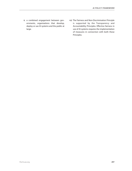- **ii.** a combined engagement between governments, organisations that develop, deploy or use AI systems and the public at large.
- **4.2** The Fairness and Non-Discrimination Principle is supported by the Transparency and Accountability Principles. Effective fairness in use of AI systems requires the implementation of measures in connection with both these Principles.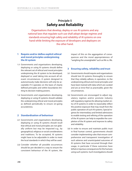# **Principle 5 Safety and Reliability**

Organisations that develop, deploy or use AI systems and any national laws that regulate such use shall adopt design regimes and standards ensuring high safety and reliability of AI systems on one hand while limiting the exposure of developers and deployers on the other hand.

# **1 Require and/or define explicit ethical and moral principles underpinning the AI system**

- **1.1** Governments and organisations developing, deploying or using AI systems should define the relevant set of ethical and moral principles underpinning the AI system to be developed, deployed or used taking into account all relevant circumstances. A system designed to autonomously make decisions will only be acceptable if it operates on the basis of clearly defined principles and within boundaries limiting its decision making powers.
- **1.2** Governments and organisations developing, deploying or using AI systems should validate the underpinning ethical and moral principles as defined periodically to ensure on-going accurateness.

# **2 Standardisation of behaviour**

- **2.1** Governments and organisations developing, deploying or using AI systems should recall that ethical and moral principles are not globally uniform but may be impacted e.g., by geographical, religious or social considerations and traditions. To be accepted, AI systems might have to be adjustable in order to meet the local standards in which they will be used.
- **2.2** Consider whether all possible occurrences should be pre-decided in a way to ensure the consistent behaviour of the AI system, the

impact of this on the aggregation of consequences and the moral appropriateness of "weighing the unweighable" such as life vs. life.

# **3 Ensuring safety, reliability and trust**

- **3.1** Governments should require and organisations should test AI systems thoroughly to ensure that they reliably adhere, in operation, to the underpinning ethical and moral principles and have been trained with data which are curated and are as 'error-free' as practicable, given the circumstances.
- **3.2** Governments are encouraged to adjust regulatory regimes and/or promote industry self-regulatory regimes for allowing market-entry of AI systems in order to reasonably reflect the positive exposure that may result from the public operation of such AI systems. Special regimes for intermediary and limited admissions to enable testing and refining of the operation of the AI system can help to expedite the completion of the AI system and improve its safety and reliability.
- **3.3** In order to ensure and maintain public trust in final human control, governments should consider implementing rules that ensure comprehensive and transparent investigation of such adverse and unanticipated outcomes of AI systems that have occurred through their usage, in particular if these outcomes have lethal or injurious consequences for the humans using such systems. Such investigations should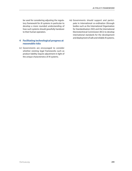be used for considering adjusting the regulatory framework for AI systems in particular to develop a more rounded understanding of how such systems should gracefully handover to their human operators.

# **4 Facilitating technological progress at reasonable risks**

- **4.1** Governments are encouraged to consider whether existing legal frameworks such as product liability require adjustment in light of the unique characteristics of AI systems.
- **4.2** Governments should support and participate in international co-ordination (through bodies such as the International Organisation for Standardisation (ISO) and the International Electrotechnical Commission (IEC)) to develop international standards for the development and deployment of safe and reliable AI systems.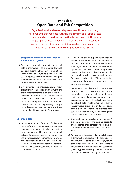# **Principle 6 Open Data and Fair Competition**

Organisations that develop, deploy or use AI systems and any national laws that regulate such use shall promote (a) open access to datasets which could be used in the development of AI systems and (b) open source frameworks and software for AI systems. AI systems must be developed and deployed on a "compliance by design" basis in relation to competition/antitrust law.

# **1 Supporting effective competition in relation to AI systems**

- **1.1** Governments should support and participate in international co-ordination (through bodies such as the OECD and the International Competition Network) to develop best practices and rigorous analysis in understanding the competitive impact of dataset control and AI systems on economic markets.
- **1.2** Governments should undertake regular reviews to ensure that competition law frameworks and the enforcement tools available to the relevant enforcement authorities are sufficient and effective to ensure sufficient access to necessary inputs, and adequate choice, vibrant rivalry, creative innovation and high quality of output in the development and deployment of AI systems, to the ultimate benefit of consumers.

# **2 Open data**

**2.1** Governments should foster and facilitate national infrastructures necessary to promote open access to datasets to all elements of society having a vested interest in access to such datasets for research and/or non-commercial use. In this regard, governments should give serious consideration to two-tier access models which would allow for free access for academic and research purposes, and paid-for access for commercialised purposes.

- **2.2** Governments should support open data initiatives in the public or private sector with guidance and research to share wide understanding of the advantages to be gained from open access data, the structures through which datasets can be shared and exchanged, and the processes by which data can be made suitable for open access (including API standardisation, pseudonymisation, aggregation or other curation, where necessary).
- **2.3** Governments should ensure that the data held by public sector bodies are accessible and open, where possible and where this does not conflict with a public sector mandate to recover taxpayer investment in the collection and curation of such data. Private sector bodies such as industry organisations and trade associations should similarly support and promote open data within their industry sector, making their own datasets open, where possible.
- **2.4** Organisations that develop, deploy or use AI systems are encouraged to open up access to, and/or license, their datasets, where possible via chaperoned mechanisms such as Data Trusts.
- **2.5** Any sharing or licensing of data should be to an extent which is reasonable in the circumstances and should be in compliance with legal, regulatory, contractual and any other obligations or requirements in relation to the data concerned (including privacy, security, freedom of information and other confidentiality considerations).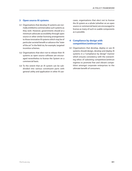#### **3 Open source AI systems**

- **3.1** Organisations that develop AI systems are normally entitled to commercialise such systems as they wish. However, governments should at a minimum advocate accessibility through open source or other similar licensing arrangements to those innovative AI systems which may be of particular societal benefit or advance the "state of the art" in the field via, for example, targeted incentive schemes.
- **3.2** Organisations that elect not to release their AI systems as open source software are encouraged nevertheless to license the System on a commercial basis.
- **3.3** To the extent that an AI system can be subdivided into various constituent parts with general utility and application in other AI use-

cases, organisations that elect not to license the AI system as a whole (whether on an open source or commercial basis) are encouraged to license as many of such re-usable components as is possible.

### **4 Compliance by design with competition/antitrust laws**

**4.1** Organisations that develop, deploy or use AI systems should design, develop and deploy AI systems in a "compliance by design" manner which ensures consistency with the overarching ethos of subsisting competition/antitrust regimes to promote free and vibrant competition amongst corporate enterprises to the ultimate benefit of consumers.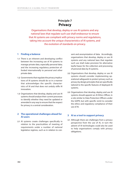# **Principle 7 Privacy**

Organisations that develop, deploy or use AI systems and any national laws that regulate such use shall endeavour to ensure that AI systems are compliant with privacy norms and regulations, taking into account the unique characteristics of AI systems, and the evolution of standards on privacy.

# **1 Finding a balance**

- **1.1** There is an inherent and developing conflict between the increasing use of AI systems to manage private data, especially personal data; and the increasing regulatory protection afforded internationally to personal and other private data.
- **1.2** Governments that regulate the privacy implications of AI systems should do so in a manner that acknowledges the specific characteristics of AI and that does not unduly stifle AI innovation.
- **1.3** Organisations that develop, deploy and use AI systems should analyse their current processes to identify whether they need be updated or amended in any way to ensure that the respect for privacy is a central consideration.

# **2 The operational challenges ahead for AI users**

**2.1** AI systems create challenges specifically in relation to the practicalities of meeting of requirements under a number of national legislative regimes, such as in relation to consent and anonymization of data. Accordingly, organisations that develop, deploy or use AI systems and any national laws that regulate such use shall make provision for alternative lawful bases for the collection and processing of personal data by AI systems.

- **2.2** Organisations that develop, deploy or use AI systems should consider implementing operational safeguards to protect privacy such as privacy by design principles that are specifically tailored to the specific features of deployed AI systems.
- **2.3** Organisations that develop, deploy and use AI systems should appoint an AI Ethics Officer, in a role similar to Data Protection Officers under the GDPR, but with specific remit to consider the ethics and regulatory compliance of their use of AI.

# **3 AI as a tool to support privacy**

**3.1** Although there are challenges from a privacy perspective from the use of AI, in turn the advent of AI technologies could also be used to help organisations comply with privacy obligations.